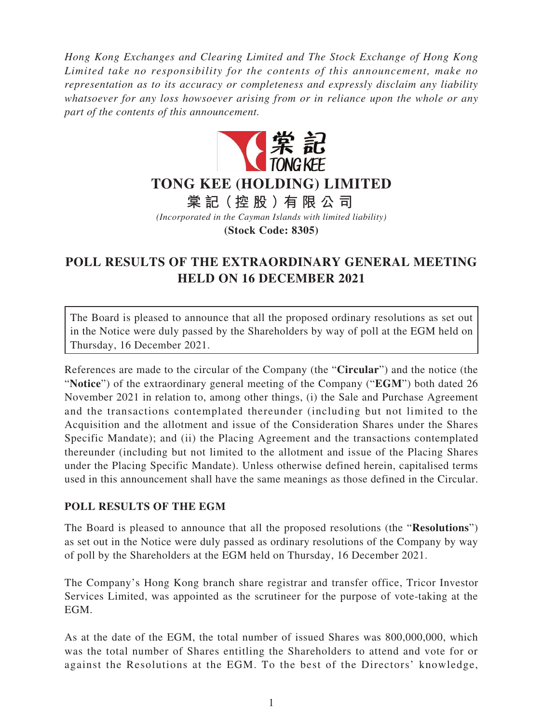*Hong Kong Exchanges and Clearing Limited and The Stock Exchange of Hong Kong Limited take no responsibility for the contents of this announcement, make no representation as to its accuracy or completeness and expressly disclaim any liability whatsoever for any loss howsoever arising from or in reliance upon the whole or any part of the contents of this announcement.*



## **TONG KEE (HOLDING) LIMITED**

**棠 記(控股)有限公司**

*(Incorporated in the Cayman Islands with limited liability)*

**(Stock Code: 8305)**

## **POLL RESULTS OF THE EXTRAORDINARY GENERAL MEETING HELD ON 16 DECEMBER 2021**

The Board is pleased to announce that all the proposed ordinary resolutions as set out in the Notice were duly passed by the Shareholders by way of poll at the EGM held on Thursday, 16 December 2021.

References are made to the circular of the Company (the "**Circular**") and the notice (the "**Notice**") of the extraordinary general meeting of the Company ("**EGM**") both dated 26 November 2021 in relation to, among other things, (i) the Sale and Purchase Agreement and the transactions contemplated thereunder (including but not limited to the Acquisition and the allotment and issue of the Consideration Shares under the Shares Specific Mandate); and (ii) the Placing Agreement and the transactions contemplated thereunder (including but not limited to the allotment and issue of the Placing Shares under the Placing Specific Mandate). Unless otherwise defined herein, capitalised terms used in this announcement shall have the same meanings as those defined in the Circular.

## **POLL RESULTS OF THE EGM**

The Board is pleased to announce that all the proposed resolutions (the "**Resolutions**") as set out in the Notice were duly passed as ordinary resolutions of the Company by way of poll by the Shareholders at the EGM held on Thursday, 16 December 2021.

The Company's Hong Kong branch share registrar and transfer office, Tricor Investor Services Limited, was appointed as the scrutineer for the purpose of vote-taking at the EGM.

As at the date of the EGM, the total number of issued Shares was 800,000,000, which was the total number of Shares entitling the Shareholders to attend and vote for or against the Resolutions at the EGM. To the best of the Directors' knowledge,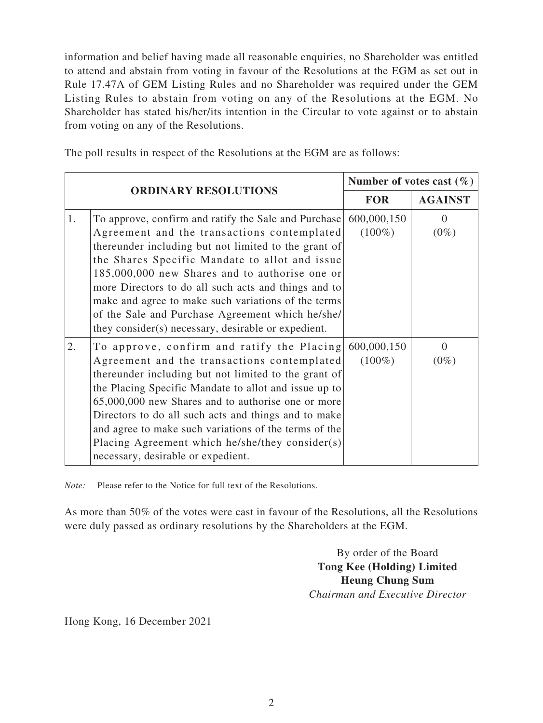information and belief having made all reasonable enquiries, no Shareholder was entitled to attend and abstain from voting in favour of the Resolutions at the EGM as set out in Rule 17.47A of GEM Listing Rules and no Shareholder was required under the GEM Listing Rules to abstain from voting on any of the Resolutions at the EGM. No Shareholder has stated his/her/its intention in the Circular to vote against or to abstain from voting on any of the Resolutions.

The poll results in respect of the Resolutions at the EGM are as follows:

| <b>ORDINARY RESOLUTIONS</b> |                                                                                                                                                                                                                                                                                                                                                                                                                                                                                                       | Number of votes cast $(\% )$ |                     |
|-----------------------------|-------------------------------------------------------------------------------------------------------------------------------------------------------------------------------------------------------------------------------------------------------------------------------------------------------------------------------------------------------------------------------------------------------------------------------------------------------------------------------------------------------|------------------------------|---------------------|
|                             |                                                                                                                                                                                                                                                                                                                                                                                                                                                                                                       | <b>FOR</b>                   | <b>AGAINST</b>      |
| 1.                          | To approve, confirm and ratify the Sale and Purchase 600,000,150<br>Agreement and the transactions contemplated<br>thereunder including but not limited to the grant of<br>the Shares Specific Mandate to allot and issue<br>185,000,000 new Shares and to authorise one or<br>more Directors to do all such acts and things and to<br>make and agree to make such variations of the terms<br>of the Sale and Purchase Agreement which he/she/<br>they consider(s) necessary, desirable or expedient. | $(100\%)$                    | $\Omega$<br>$(0\%)$ |
| 2.                          | To approve, confirm and ratify the Placing 600,000,150<br>Agreement and the transactions contemplated<br>thereunder including but not limited to the grant of<br>the Placing Specific Mandate to allot and issue up to<br>65,000,000 new Shares and to authorise one or more<br>Directors to do all such acts and things and to make<br>and agree to make such variations of the terms of the<br>Placing Agreement which he/she/they consider(s)<br>necessary, desirable or expedient.                | $(100\%)$                    | $\Omega$<br>$(0\%)$ |

*Note:* Please refer to the Notice for full text of the Resolutions.

As more than 50% of the votes were cast in favour of the Resolutions, all the Resolutions were duly passed as ordinary resolutions by the Shareholders at the EGM.

> By order of the Board **Tong Kee (Holding) Limited Heung Chung Sum** *Chairman and Executive Director*

Hong Kong, 16 December 2021